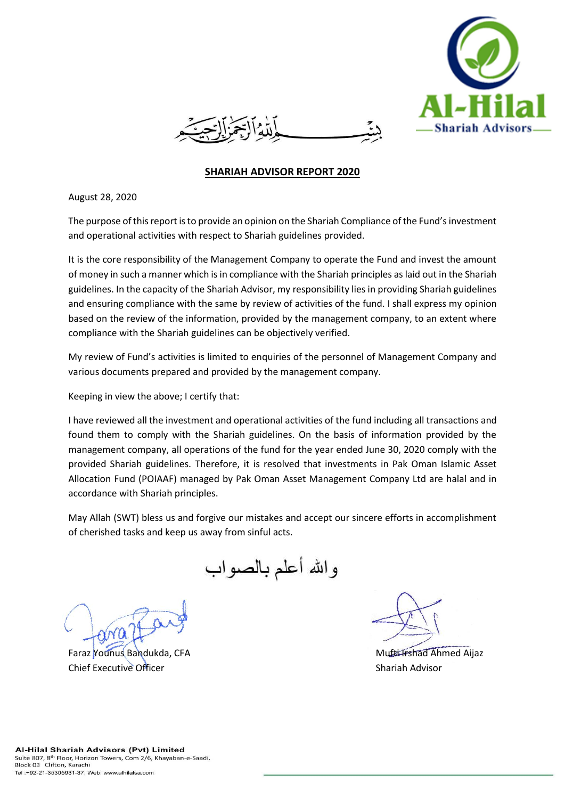

## **SHARIAH ADVISOR REPORT 2020**

August 28, 2020

The purpose of this report is to provide an opinion on the Shariah Compliance of the Fund's investment and operational activities with respect to Shariah guidelines provided.

It is the core responsibility of the Management Company to operate the Fund and invest the amount of money in such a manner which is in compliance with the Shariah principles as laid out in the Shariah guidelines. In the capacity of the Shariah Advisor, my responsibility lies in providing Shariah guidelines and ensuring compliance with the same by review of activities of the fund. I shall express my opinion based on the review of the information, provided by the management company, to an extent where compliance with the Shariah guidelines can be objectively verified.

My review of Fund's activities is limited to enquiries of the personnel of Management Company and various documents prepared and provided by the management company.

Keeping in view the above; I certify that:

I have reviewed all the investment and operational activities of the fund including all transactions and found them to comply with the Shariah guidelines. On the basis of information provided by the management company, all operations of the fund for the year ended June 30, 2020 comply with the provided Shariah guidelines. Therefore, it is resolved that investments in Pak Oman Islamic Asset Allocation Fund (POIAAF) managed by Pak Oman Asset Management Company Ltd are halal and in accordance with Shariah principles.

May Allah (SWT) bless us and forgive our mistakes and accept our sincere efforts in accomplishment of cherished tasks and keep us away from sinful acts.

والله أعلم بالصىواب

Faraz Younus Bandukda, CFA Mufti Irshad Ahmed Aijaz Chief Executive Officer Shariah Advisor